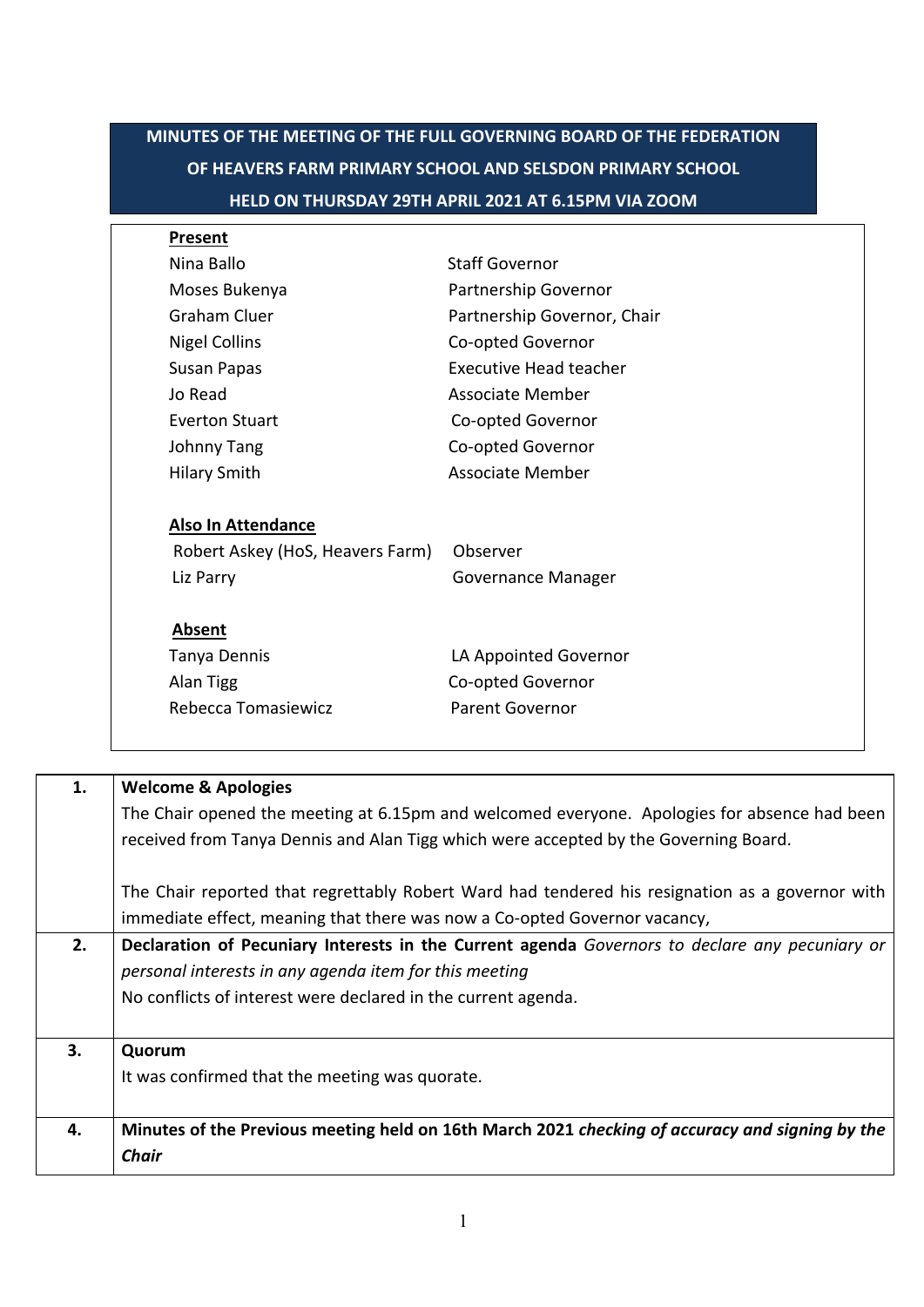| HELD ON THURSDAY 29TH APRIL 2021 AT 6.15PM VIA ZOOM |                               |  |  |
|-----------------------------------------------------|-------------------------------|--|--|
| <b>Present</b>                                      |                               |  |  |
| Nina Ballo                                          | <b>Staff Governor</b>         |  |  |
| Moses Bukenya                                       | Partnership Governor          |  |  |
| <b>Graham Cluer</b>                                 | Partnership Governor, Chair   |  |  |
| <b>Nigel Collins</b>                                | Co-opted Governor             |  |  |
| Susan Papas                                         | <b>Executive Head teacher</b> |  |  |
| Jo Read                                             | Associate Member              |  |  |
| <b>Everton Stuart</b>                               | Co-opted Governor             |  |  |
| Johnny Tang                                         | Co-opted Governor             |  |  |
| <b>Hilary Smith</b>                                 | Associate Member              |  |  |
| <b>Also In Attendance</b>                           |                               |  |  |
| Robert Askey (HoS, Heavers Farm)                    | Observer                      |  |  |
| Liz Parry                                           | Governance Manager            |  |  |
| Absent                                              |                               |  |  |
| Tanya Dennis                                        | LA Appointed Governor         |  |  |
| Alan Tigg                                           | Co-opted Governor             |  |  |
| Rebecca Tomasiewicz                                 | <b>Parent Governor</b>        |  |  |

| 1. | <b>Welcome &amp; Apologies</b>                                                                  |  |
|----|-------------------------------------------------------------------------------------------------|--|
|    | The Chair opened the meeting at 6.15pm and welcomed everyone. Apologies for absence had been    |  |
|    | received from Tanya Dennis and Alan Tigg which were accepted by the Governing Board.            |  |
|    | The Chair reported that regrettably Robert Ward had tendered his resignation as a governor with |  |
|    | immediate effect, meaning that there was now a Co-opted Governor vacancy,                       |  |
| 2. | Declaration of Pecuniary Interests in the Current agenda Governors to declare any pecuniary or  |  |
|    | personal interests in any agenda item for this meeting                                          |  |
|    | No conflicts of interest were declared in the current agenda.                                   |  |
| 3. | Quorum                                                                                          |  |
|    | It was confirmed that the meeting was quorate.                                                  |  |
| 4. | Minutes of the Previous meeting held on 16th March 2021 checking of accuracy and signing by the |  |
|    | <b>Chair</b>                                                                                    |  |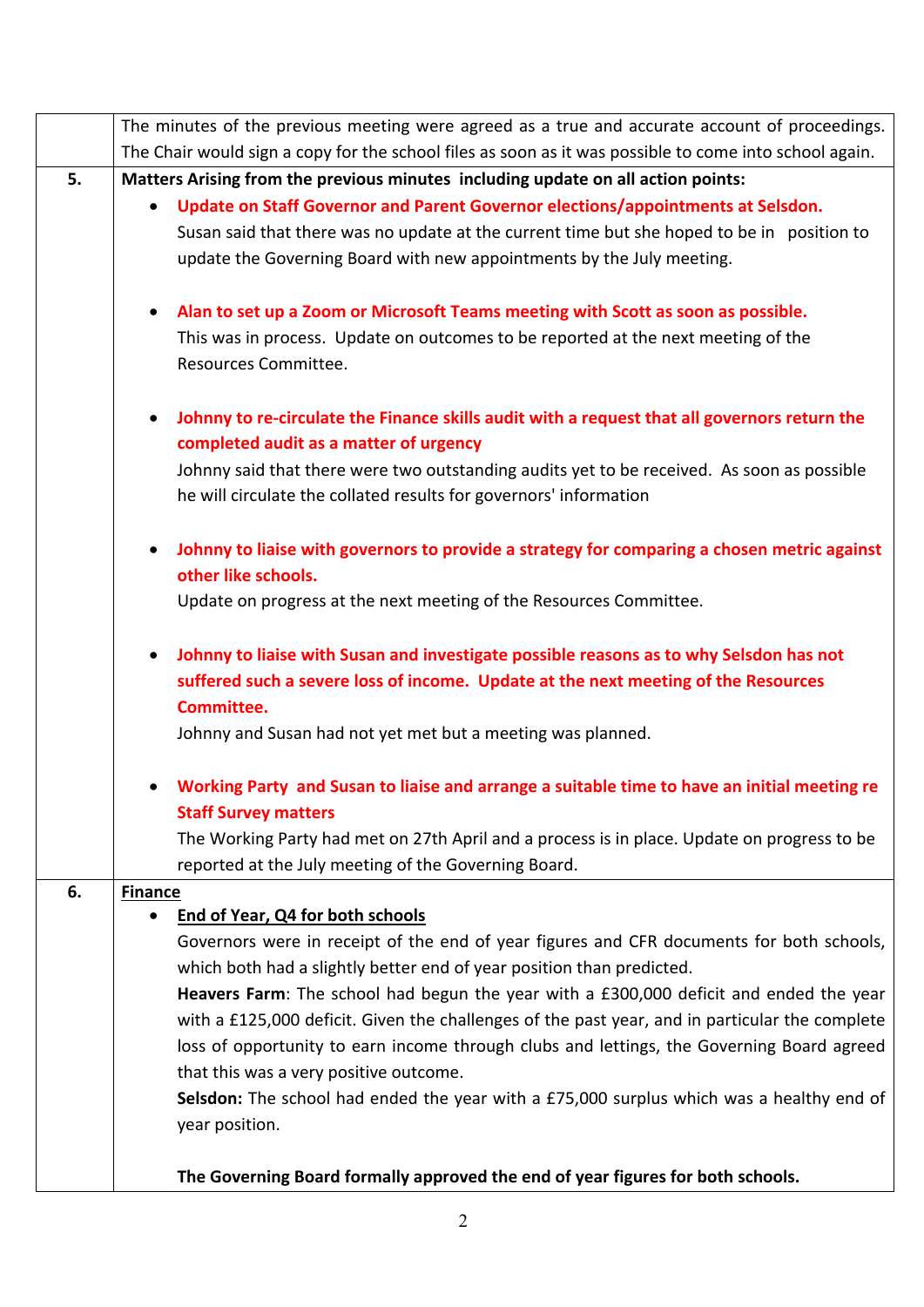|    | The minutes of the previous meeting were agreed as a true and accurate account of proceedings.                                                                    |  |  |  |
|----|-------------------------------------------------------------------------------------------------------------------------------------------------------------------|--|--|--|
|    | The Chair would sign a copy for the school files as soon as it was possible to come into school again.                                                            |  |  |  |
| 5. | Matters Arising from the previous minutes including update on all action points:                                                                                  |  |  |  |
|    | Update on Staff Governor and Parent Governor elections/appointments at Selsdon.<br>$\bullet$                                                                      |  |  |  |
|    | Susan said that there was no update at the current time but she hoped to be in position to                                                                        |  |  |  |
|    | update the Governing Board with new appointments by the July meeting.                                                                                             |  |  |  |
|    | Alan to set up a Zoom or Microsoft Teams meeting with Scott as soon as possible.<br>$\bullet$                                                                     |  |  |  |
|    | This was in process. Update on outcomes to be reported at the next meeting of the                                                                                 |  |  |  |
|    | Resources Committee.                                                                                                                                              |  |  |  |
|    |                                                                                                                                                                   |  |  |  |
|    | Johnny to re-circulate the Finance skills audit with a request that all governors return the<br>$\bullet$                                                         |  |  |  |
|    | completed audit as a matter of urgency                                                                                                                            |  |  |  |
|    | Johnny said that there were two outstanding audits yet to be received. As soon as possible                                                                        |  |  |  |
|    | he will circulate the collated results for governors' information                                                                                                 |  |  |  |
|    | Johnny to liaise with governors to provide a strategy for comparing a chosen metric against<br>$\bullet$                                                          |  |  |  |
|    | other like schools.                                                                                                                                               |  |  |  |
|    | Update on progress at the next meeting of the Resources Committee.                                                                                                |  |  |  |
|    |                                                                                                                                                                   |  |  |  |
|    | Johnny to liaise with Susan and investigate possible reasons as to why Selsdon has not<br>$\bullet$                                                               |  |  |  |
|    | suffered such a severe loss of income. Update at the next meeting of the Resources                                                                                |  |  |  |
|    | Committee.                                                                                                                                                        |  |  |  |
|    | Johnny and Susan had not yet met but a meeting was planned.                                                                                                       |  |  |  |
|    | Working Party and Susan to liaise and arrange a suitable time to have an initial meeting re                                                                       |  |  |  |
|    | <b>Staff Survey matters</b>                                                                                                                                       |  |  |  |
|    | The Working Party had met on 27th April and a process is in place. Update on progress to be                                                                       |  |  |  |
|    | reported at the July meeting of the Governing Board.                                                                                                              |  |  |  |
| 6. | <b>Finance</b><br>End of Year, Q4 for both schools                                                                                                                |  |  |  |
|    |                                                                                                                                                                   |  |  |  |
|    | Governors were in receipt of the end of year figures and CFR documents for both schools,<br>which both had a slightly better end of year position than predicted. |  |  |  |
|    | Heavers Farm: The school had begun the year with a £300,000 deficit and ended the year                                                                            |  |  |  |
|    | with a £125,000 deficit. Given the challenges of the past year, and in particular the complete                                                                    |  |  |  |
|    | loss of opportunity to earn income through clubs and lettings, the Governing Board agreed                                                                         |  |  |  |
|    | that this was a very positive outcome.                                                                                                                            |  |  |  |
|    | Selsdon: The school had ended the year with a £75,000 surplus which was a healthy end of                                                                          |  |  |  |
|    | year position.                                                                                                                                                    |  |  |  |
|    |                                                                                                                                                                   |  |  |  |
|    | The Governing Board formally approved the end of year figures for both schools.                                                                                   |  |  |  |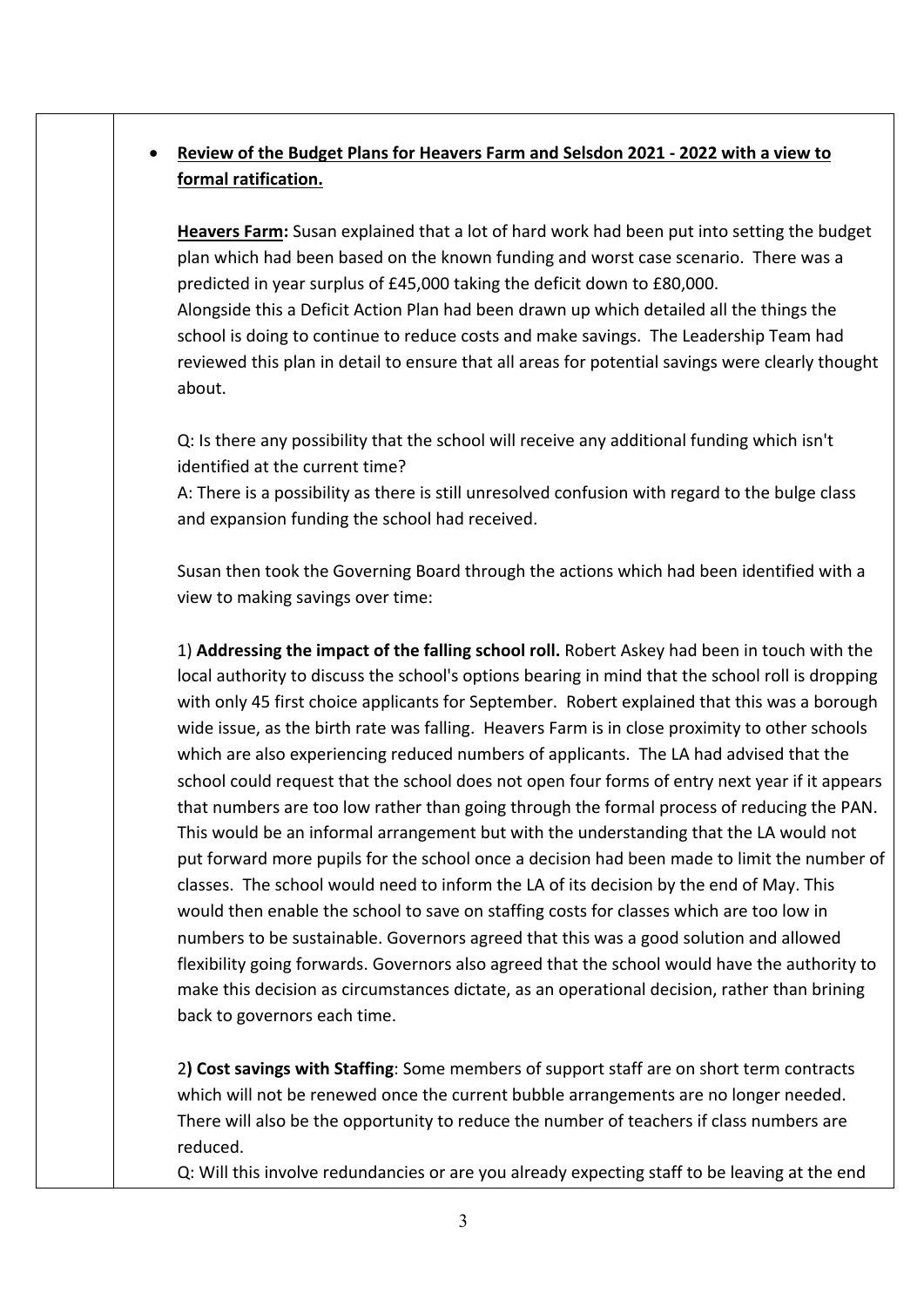## • **Review of the Budget Plans for Heavers Farm and Selsdon 2021 - 2022 with a view to formal ratification.**

**Heavers Farm:** Susan explained that a lot of hard work had been put into setting the budget plan which had been based on the known funding and worst case scenario. There was a predicted in year surplus of £45,000 taking the deficit down to £80,000. Alongside this a Deficit Action Plan had been drawn up which detailed all the things the school is doing to continue to reduce costs and make savings. The Leadership Team had reviewed this plan in detail to ensure that all areas for potential savings were clearly thought about.

Q: Is there any possibility that the school will receive any additional funding which isn't identified at the current time?

A: There is a possibility as there is still unresolved confusion with regard to the bulge class and expansion funding the school had received.

Susan then took the Governing Board through the actions which had been identified with a view to making savings over time:

1) **Addressing the impact of the falling school roll.** Robert Askey had been in touch with the local authority to discuss the school's options bearing in mind that the school roll is dropping with only 45 first choice applicants for September. Robert explained that this was a borough wide issue, as the birth rate was falling. Heavers Farm is in close proximity to other schools which are also experiencing reduced numbers of applicants. The LA had advised that the school could request that the school does not open four forms of entry next year if it appears that numbers are too low rather than going through the formal process of reducing the PAN. This would be an informal arrangement but with the understanding that the LA would not put forward more pupils for the school once a decision had been made to limit the number of classes. The school would need to inform the LA of its decision by the end of May. This would then enable the school to save on staffing costs for classes which are too low in numbers to be sustainable. Governors agreed that this was a good solution and allowed flexibility going forwards. Governors also agreed that the school would have the authority to make this decision as circumstances dictate, as an operational decision, rather than brining back to governors each time.

2**) Cost savings with Staffing**: Some members of support staff are on short term contracts which will not be renewed once the current bubble arrangements are no longer needed. There will also be the opportunity to reduce the number of teachers if class numbers are reduced.

Q: Will this involve redundancies or are you already expecting staff to be leaving at the end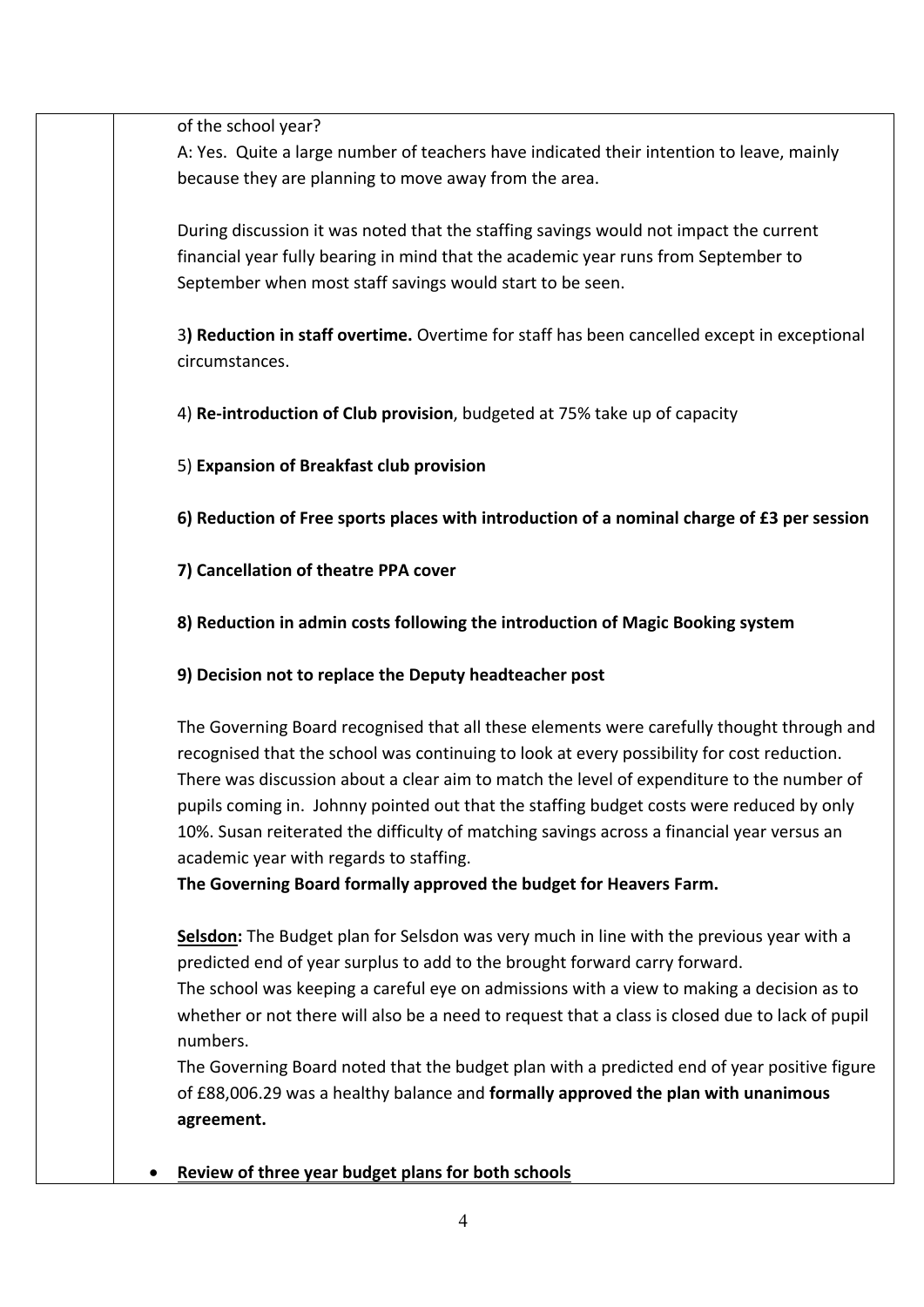of the school year?

A: Yes. Quite a large number of teachers have indicated their intention to leave, mainly because they are planning to move away from the area.

During discussion it was noted that the staffing savings would not impact the current financial year fully bearing in mind that the academic year runs from September to September when most staff savings would start to be seen.

3**) Reduction in staff overtime.** Overtime for staff has been cancelled except in exceptional circumstances.

4) **Re-introduction of Club provision**, budgeted at 75% take up of capacity

5) **Expansion of Breakfast club provision**

**6) Reduction of Free sports places with introduction of a nominal charge of £3 per session**

**7) Cancellation of theatre PPA cover**

**8) Reduction in admin costs following the introduction of Magic Booking system**

**9) Decision not to replace the Deputy headteacher post** 

The Governing Board recognised that all these elements were carefully thought through and recognised that the school was continuing to look at every possibility for cost reduction. There was discussion about a clear aim to match the level of expenditure to the number of pupils coming in. Johnny pointed out that the staffing budget costs were reduced by only 10%. Susan reiterated the difficulty of matching savings across a financial year versus an academic year with regards to staffing.

**The Governing Board formally approved the budget for Heavers Farm.**

**Selsdon:** The Budget plan for Selsdon was very much in line with the previous year with a predicted end of year surplus to add to the brought forward carry forward.

The school was keeping a careful eye on admissions with a view to making a decision as to whether or not there will also be a need to request that a class is closed due to lack of pupil numbers.

The Governing Board noted that the budget plan with a predicted end of year positive figure of £88,006.29 was a healthy balance and **formally approved the plan with unanimous agreement.**

• **Review of three year budget plans for both schools**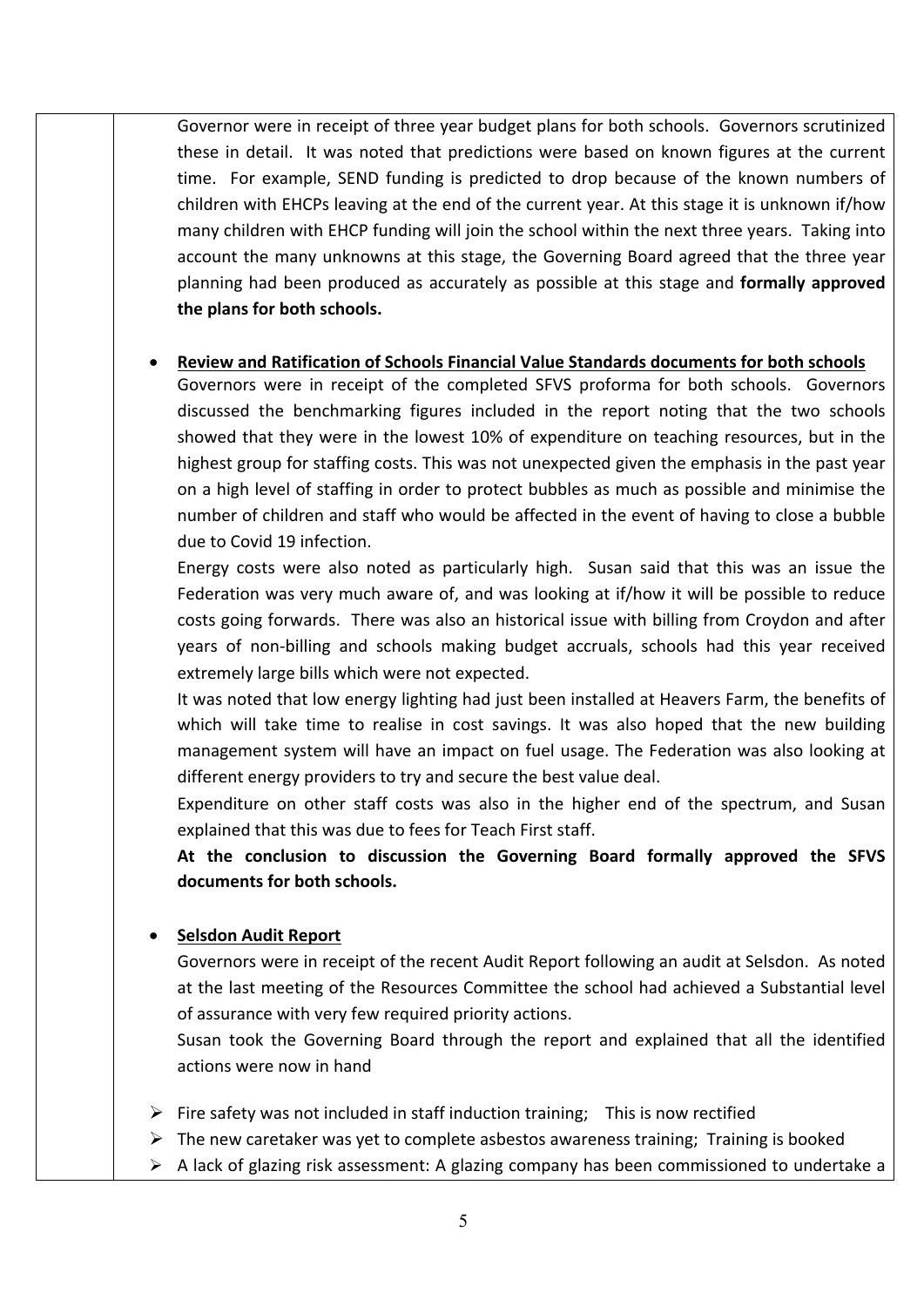Governor were in receipt of three year budget plans for both schools. Governors scrutinized these in detail. It was noted that predictions were based on known figures at the current time. For example, SEND funding is predicted to drop because of the known numbers of children with EHCPs leaving at the end of the current year. At this stage it is unknown if/how many children with EHCP funding will join the school within the next three years. Taking into account the many unknowns at this stage, the Governing Board agreed that the three year planning had been produced as accurately as possible at this stage and **formally approved the plans for both schools.**

## • **Review and Ratification of Schools Financial Value Standards documents for both schools**

Governors were in receipt of the completed SFVS proforma for both schools. Governors discussed the benchmarking figures included in the report noting that the two schools showed that they were in the lowest 10% of expenditure on teaching resources, but in the highest group for staffing costs. This was not unexpected given the emphasis in the past year on a high level of staffing in order to protect bubbles as much as possible and minimise the number of children and staff who would be affected in the event of having to close a bubble due to Covid 19 infection.

Energy costs were also noted as particularly high. Susan said that this was an issue the Federation was very much aware of, and was looking at if/how it will be possible to reduce costs going forwards. There was also an historical issue with billing from Croydon and after years of non-billing and schools making budget accruals, schools had this year received extremely large bills which were not expected.

It was noted that low energy lighting had just been installed at Heavers Farm, the benefits of which will take time to realise in cost savings. It was also hoped that the new building management system will have an impact on fuel usage. The Federation was also looking at different energy providers to try and secure the best value deal.

Expenditure on other staff costs was also in the higher end of the spectrum, and Susan explained that this was due to fees for Teach First staff.

**At the conclusion to discussion the Governing Board formally approved the SFVS documents for both schools.**

## • **Selsdon Audit Report**

Governors were in receipt of the recent Audit Report following an audit at Selsdon. As noted at the last meeting of the Resources Committee the school had achieved a Substantial level of assurance with very few required priority actions.

Susan took the Governing Board through the report and explained that all the identified actions were now in hand

- $\triangleright$  Fire safety was not included in staff induction training; This is now rectified
- $\triangleright$  The new caretaker was yet to complete asbestos awareness training; Training is booked
- $\triangleright$  A lack of glazing risk assessment: A glazing company has been commissioned to undertake a